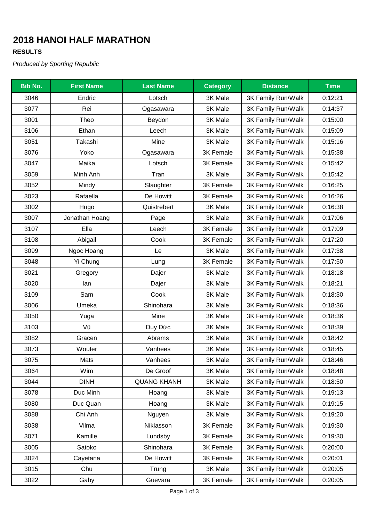# **2018 HANOI HALF MARATHON**

### **RESULTS**

*Produced by Sporting Republic*

| <b>Bib No.</b> | <b>First Name</b> | <b>Last Name</b>   | <b>Category</b>  | <b>Distance</b>    | <b>Time</b> |
|----------------|-------------------|--------------------|------------------|--------------------|-------------|
| 3046           | Endric            | Lotsch             | 3K Male          | 3K Family Run/Walk | 0:12:21     |
| 3077           | Rei               | Ogasawara          | 3K Male          | 3K Family Run/Walk | 0:14:37     |
| 3001           | Theo              | Beydon             | 3K Male          | 3K Family Run/Walk | 0:15:00     |
| 3106           | Ethan             | Leech              | 3K Male          | 3K Family Run/Walk | 0:15:09     |
| 3051           | Takashi           | Mine               | 3K Male          | 3K Family Run/Walk | 0:15:16     |
| 3076           | Yoko              | Ogasawara          | 3K Female        | 3K Family Run/Walk | 0:15:38     |
| 3047           | Maika             | Lotsch             | <b>3K Female</b> | 3K Family Run/Walk | 0:15:42     |
| 3059           | Minh Anh          | Tran               | 3K Male          | 3K Family Run/Walk | 0:15:42     |
| 3052           | Mindy             | Slaughter          | <b>3K Female</b> | 3K Family Run/Walk | 0:16:25     |
| 3023           | Rafaella          | De Howitt          | <b>3K Female</b> | 3K Family Run/Walk | 0:16:26     |
| 3002           | Hugo              | Quistrebert        | 3K Male          | 3K Family Run/Walk | 0:16:38     |
| 3007           | Jonathan Hoang    | Page               | 3K Male          | 3K Family Run/Walk | 0:17:06     |
| 3107           | Ella              | Leech              | 3K Female        | 3K Family Run/Walk | 0:17:09     |
| 3108           | Abigail           | Cook               | <b>3K Female</b> | 3K Family Run/Walk | 0:17:20     |
| 3099           | Ngoc Hoang        | Le                 | 3K Male          | 3K Family Run/Walk | 0:17:38     |
| 3048           | Yi Chung          | Lung               | <b>3K Female</b> | 3K Family Run/Walk | 0:17:50     |
| 3021           | Gregory           | Dajer              | 3K Male          | 3K Family Run/Walk | 0:18:18     |
| 3020           | lan               | Dajer              | 3K Male          | 3K Family Run/Walk | 0:18:21     |
| 3109           | Sam               | Cook               | 3K Male          | 3K Family Run/Walk | 0:18:30     |
| 3006           | Umeka             | Shinohara          | 3K Male          | 3K Family Run/Walk | 0:18:36     |
| 3050           | Yuga              | Mine               | 3K Male          | 3K Family Run/Walk | 0:18:36     |
| 3103           | Vũ                | Duy Đức            | 3K Male          | 3K Family Run/Walk | 0:18:39     |
| 3082           | Gracen            | Abrams             | 3K Male          | 3K Family Run/Walk | 0:18:42     |
| 3073           | Wouter            | Vanhees            | 3K Male          | 3K Family Run/Walk | 0:18:45     |
| 3075           | Mats              | Vanhees            | 3K Male          | 3K Family Run/Walk | 0:18:46     |
| 3064           | Wim               | De Groof           | 3K Male          | 3K Family Run/Walk | 0:18:48     |
| 3044           | <b>DINH</b>       | <b>QUANG KHANH</b> | 3K Male          | 3K Family Run/Walk | 0:18:50     |
| 3078           | Duc Minh          | Hoang              | 3K Male          | 3K Family Run/Walk | 0:19:13     |
| 3080           | Duc Quan          | Hoang              | 3K Male          | 3K Family Run/Walk | 0:19:15     |
| 3088           | Chi Anh           | Nguyen             | 3K Male          | 3K Family Run/Walk | 0:19:20     |
| 3038           | Vilma             | Niklasson          | 3K Female        | 3K Family Run/Walk | 0:19:30     |
| 3071           | Kamille           | Lundsby            | 3K Female        | 3K Family Run/Walk | 0:19:30     |
| 3005           | Satoko            | Shinohara          | 3K Female        | 3K Family Run/Walk | 0:20:00     |
| 3024           | Cayetana          | De Howitt          | 3K Female        | 3K Family Run/Walk | 0:20:01     |
| 3015           | Chu               | Trung              | 3K Male          | 3K Family Run/Walk | 0:20:05     |
| 3022           | Gaby              | Guevara            | 3K Female        | 3K Family Run/Walk | 0:20:05     |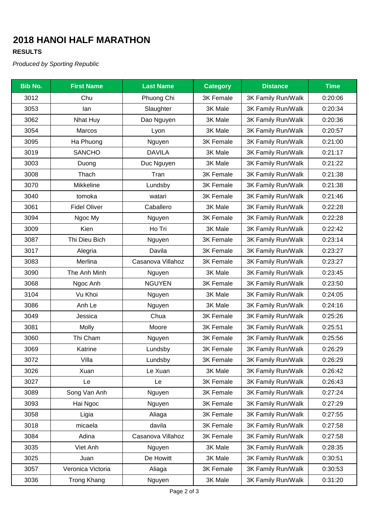# **2018 HANOI HALF MARATHON**

### **RESULTS**

*Produced by Sporting Republic*

| <b>Bib No.</b> | <b>First Name</b>   | <b>Last Name</b>  | <b>Category</b>  | <b>Distance</b>    | <b>Time</b> |
|----------------|---------------------|-------------------|------------------|--------------------|-------------|
| 3012           | Chu                 | Phuong Chi        | 3K Female        | 3K Family Run/Walk | 0:20:06     |
| 3053           | lan                 | Slaughter         | 3K Male          | 3K Family Run/Walk | 0:20:34     |
| 3062           | <b>Nhat Huy</b>     | Dao Nguyen        | 3K Male          | 3K Family Run/Walk | 0:20:36     |
| 3054           | Marcos              | Lyon              | 3K Male          | 3K Family Run/Walk | 0:20:57     |
| 3095           | Ha Phuong           | Nguyen            | 3K Female        | 3K Family Run/Walk | 0:21:00     |
| 3019           | <b>SANCHO</b>       | <b>DAVILA</b>     | 3K Male          | 3K Family Run/Walk | 0:21:17     |
| 3003           | Duong               | Duc Nguyen        | 3K Male          | 3K Family Run/Walk | 0:21:22     |
| 3008           | Thach               | Tran              | 3K Female        | 3K Family Run/Walk | 0:21:38     |
| 3070           | Mikkeline           | Lundsby           | 3K Female        | 3K Family Run/Walk | 0:21:38     |
| 3040           | tomoka              | watari            | 3K Female        | 3K Family Run/Walk | 0:21:46     |
| 3061           | <b>Fidel Oliver</b> | Caballero         | 3K Male          | 3K Family Run/Walk | 0:22:28     |
| 3094           | Ngoc My             | Nguyen            | 3K Female        | 3K Family Run/Walk | 0:22:28     |
| 3009           | Kien                | Ho Tri            | 3K Male          | 3K Family Run/Walk | 0:22:42     |
| 3087           | Thi Dieu Bich       | Nguyen            | 3K Female        | 3K Family Run/Walk | 0:23:14     |
| 3017           | Alegria             | Davila            | <b>3K Female</b> | 3K Family Run/Walk | 0:23:27     |
| 3083           | Merlina             | Casanova Villahoz | <b>3K Female</b> | 3K Family Run/Walk | 0:23:27     |
| 3090           | The Anh Minh        | Nguyen            | 3K Male          | 3K Family Run/Walk | 0:23:45     |
| 3068           | Ngoc Anh            | <b>NGUYEN</b>     | 3K Female        | 3K Family Run/Walk | 0:23:50     |
| 3104           | Vu Khoi             | Nguyen            | 3K Male          | 3K Family Run/Walk | 0:24:05     |
| 3086           | Anh Le              | Nguyen            | 3K Male          | 3K Family Run/Walk | 0:24:16     |
| 3049           | Jessica             | Chua              | 3K Female        | 3K Family Run/Walk | 0:25:26     |
| 3081           | Molly               | Moore             | 3K Female        | 3K Family Run/Walk | 0:25:51     |
| 3060           | Thi Cham            | Nguyen            | 3K Female        | 3K Family Run/Walk | 0:25:56     |
| 3069           | Katrine             | Lundsby           | 3K Female        | 3K Family Run/Walk | 0:26:29     |
| 3072           | Villa               | Lundsby           | 3K Female        | 3K Family Run/Walk | 0:26:29     |
| 3026           | Xuan                | Le Xuan           | 3K Male          | 3K Family Run/Walk | 0:26:42     |
| 3027           | Le                  | Le                | 3K Female        | 3K Family Run/Walk | 0:26:43     |
| 3089           | Song Van Anh        | Nguyen            | 3K Female        | 3K Family Run/Walk | 0:27:24     |
| 3093           | Hai Ngoc            | Nguyen            | 3K Female        | 3K Family Run/Walk | 0:27:29     |
| 3058           | Ligia               | Aliaga            | 3K Female        | 3K Family Run/Walk | 0:27:55     |
| 3018           | micaela             | davila            | 3K Female        | 3K Family Run/Walk | 0:27:58     |
| 3084           | Adina               | Casanova Villahoz | 3K Female        | 3K Family Run/Walk | 0:27:58     |
| 3035           | Viet Anh            | Nguyen            | 3K Male          | 3K Family Run/Walk | 0:28:35     |
| 3025           | Juan                | De Howitt         | 3K Male          | 3K Family Run/Walk | 0:30:51     |
| 3057           | Veronica Victoria   | Aliaga            | 3K Female        | 3K Family Run/Walk | 0:30:53     |
| 3036           | <b>Trong Khang</b>  | Nguyen            | 3K Male          | 3K Family Run/Walk | 0:31:20     |